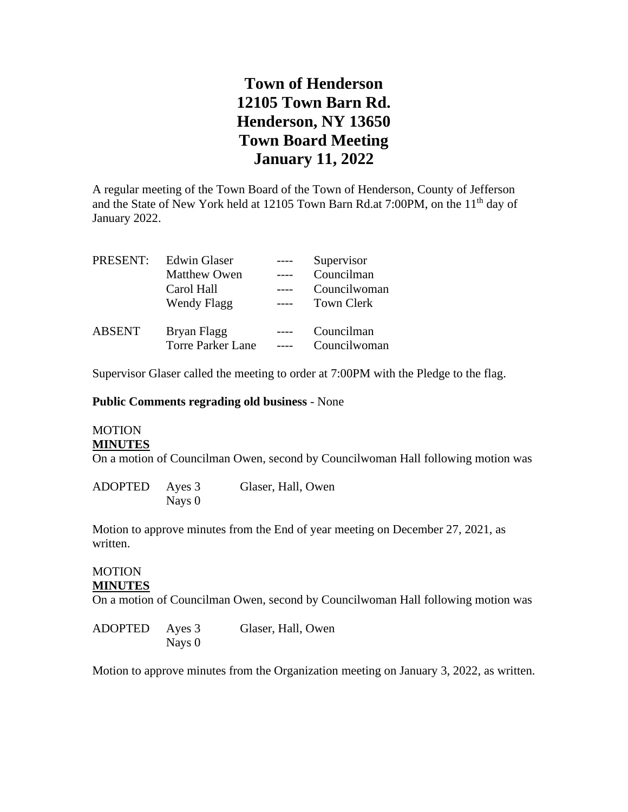# **Town of Henderson 12105 Town Barn Rd. Henderson, NY 13650 Town Board Meeting January 11, 2022**

A regular meeting of the Town Board of the Town of Henderson, County of Jefferson and the State of New York held at 12105 Town Barn Rd.at 7:00PM, on the 11<sup>th</sup> day of January 2022.

| PRESENT:      | <b>Edwin Glaser</b>      | Supervisor        |
|---------------|--------------------------|-------------------|
|               | <b>Matthew Owen</b>      | Councilman        |
|               | Carol Hall               | Councilwoman      |
|               | Wendy Flagg              | <b>Town Clerk</b> |
| <b>ABSENT</b> | Bryan Flagg              | Councilman        |
|               | <b>Torre Parker Lane</b> | Councilwoman      |

Supervisor Glaser called the meeting to order at 7:00PM with the Pledge to the flag.

**Public Comments regrading old business** - None

#### MOTION **MINUTES**

On a motion of Councilman Owen, second by Councilwoman Hall following motion was

ADOPTED Ayes 3 Glaser, Hall, Owen Nays 0

Motion to approve minutes from the End of year meeting on December 27, 2021, as written.

### MOTION **MINUTES**

On a motion of Councilman Owen, second by Councilwoman Hall following motion was

ADOPTED Ayes 3 Glaser, Hall, Owen Nays 0

Motion to approve minutes from the Organization meeting on January 3, 2022, as written.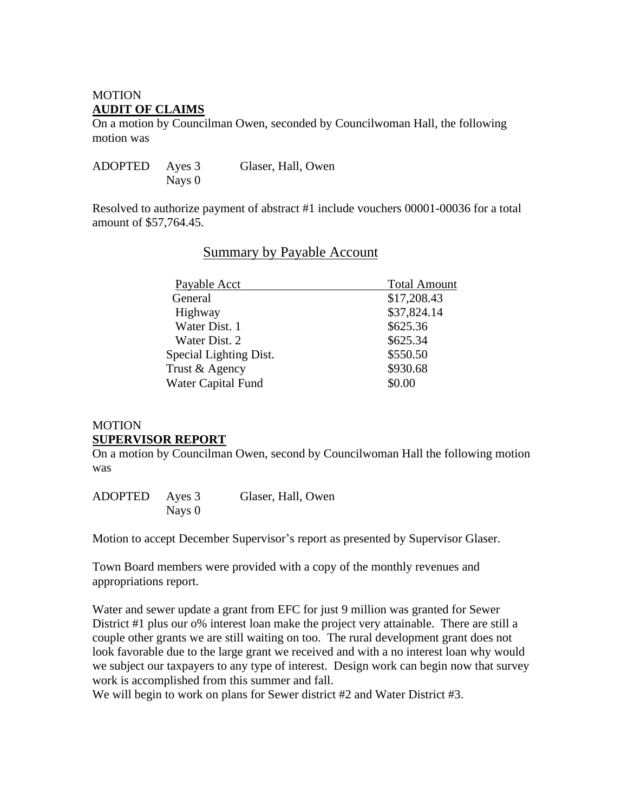# **MOTION AUDIT OF CLAIMS**

On a motion by Councilman Owen, seconded by Councilwoman Hall, the following motion was

| ADOPTED | Ayes 3   | Glaser, Hall, Owen |
|---------|----------|--------------------|
|         | Nays $0$ |                    |

Resolved to authorize payment of abstract #1 include vouchers 00001-00036 for a total amount of \$57,764.45.

## Summary by Payable Account

| Payable Acct              | <b>Total Amount</b> |
|---------------------------|---------------------|
| General                   | \$17,208.43         |
| Highway                   | \$37,824.14         |
| Water Dist. 1             | \$625.36            |
| Water Dist. 2             | \$625.34            |
| Special Lighting Dist.    | \$550.50            |
| Trust & Agency            | \$930.68            |
| <b>Water Capital Fund</b> | \$0.00              |
|                           |                     |

### MOTION

### **SUPERVISOR REPORT**

On a motion by Councilman Owen, second by Councilwoman Hall the following motion was

| <b>ADOPTED</b> | Ayes 3 | Glaser, Hall, Owen |
|----------------|--------|--------------------|
|                | Nays 0 |                    |

Motion to accept December Supervisor's report as presented by Supervisor Glaser.

Town Board members were provided with a copy of the monthly revenues and appropriations report.

Water and sewer update a grant from EFC for just 9 million was granted for Sewer District #1 plus our o% interest loan make the project very attainable. There are still a couple other grants we are still waiting on too. The rural development grant does not look favorable due to the large grant we received and with a no interest loan why would we subject our taxpayers to any type of interest. Design work can begin now that survey work is accomplished from this summer and fall.

We will begin to work on plans for Sewer district #2 and Water District #3.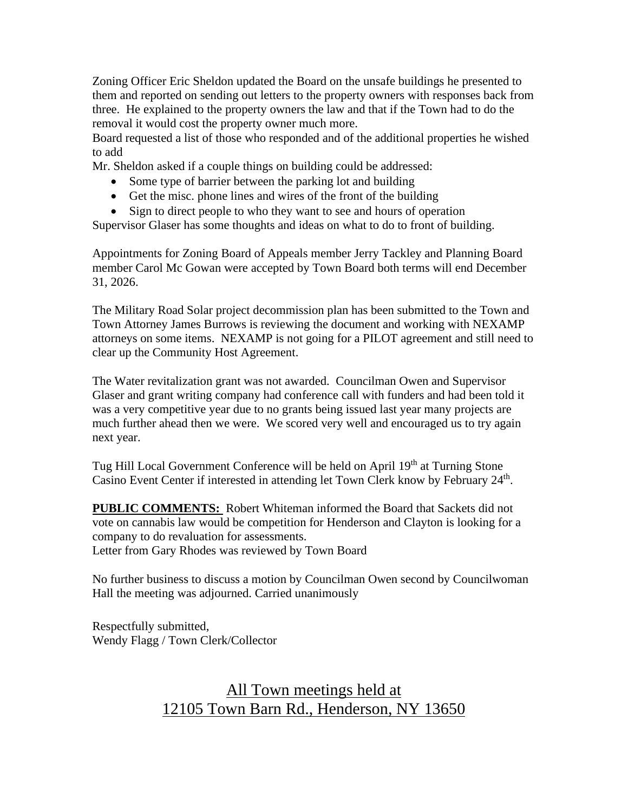Zoning Officer Eric Sheldon updated the Board on the unsafe buildings he presented to them and reported on sending out letters to the property owners with responses back from three. He explained to the property owners the law and that if the Town had to do the removal it would cost the property owner much more.

Board requested a list of those who responded and of the additional properties he wished to add

Mr. Sheldon asked if a couple things on building could be addressed:

- Some type of barrier between the parking lot and building
- Get the misc. phone lines and wires of the front of the building
- Sign to direct people to who they want to see and hours of operation

Supervisor Glaser has some thoughts and ideas on what to do to front of building.

Appointments for Zoning Board of Appeals member Jerry Tackley and Planning Board member Carol Mc Gowan were accepted by Town Board both terms will end December 31, 2026.

The Military Road Solar project decommission plan has been submitted to the Town and Town Attorney James Burrows is reviewing the document and working with NEXAMP attorneys on some items. NEXAMP is not going for a PILOT agreement and still need to clear up the Community Host Agreement.

The Water revitalization grant was not awarded. Councilman Owen and Supervisor Glaser and grant writing company had conference call with funders and had been told it was a very competitive year due to no grants being issued last year many projects are much further ahead then we were. We scored very well and encouraged us to try again next year.

Tug Hill Local Government Conference will be held on April 19<sup>th</sup> at Turning Stone Casino Event Center if interested in attending let Town Clerk know by February 24<sup>th</sup>.

**PUBLIC COMMENTS:** Robert Whiteman informed the Board that Sackets did not vote on cannabis law would be competition for Henderson and Clayton is looking for a company to do revaluation for assessments. Letter from Gary Rhodes was reviewed by Town Board

No further business to discuss a motion by Councilman Owen second by Councilwoman Hall the meeting was adjourned. Carried unanimously

Respectfully submitted, Wendy Flagg / Town Clerk/Collector

# All Town meetings held at 12105 Town Barn Rd., Henderson, NY 13650